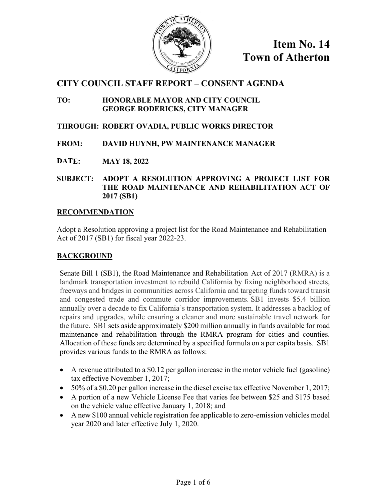

## **CITY COUNCIL STAFF REPORT – CONSENT AGENDA**

#### **TO: HONORABLE MAYOR AND CITY COUNCIL GEORGE RODERICKS, CITY MANAGER**

### **THROUGH: ROBERT OVADIA, PUBLIC WORKS DIRECTOR**

#### **FROM: DAVID HUYNH, PW MAINTENANCE MANAGER**

**DATE: MAY 18, 2022** 

**SUBJECT: ADOPT A RESOLUTION APPROVING A PROJECT LIST FOR THE ROAD MAINTENANCE AND REHABILITATION ACT OF 2017 (SB1)** 

#### **RECOMMENDATION**

Adopt a Resolution approving a project list for the Road Maintenance and Rehabilitation Act of 2017 (SB1) for fiscal year 2022-23.

#### **BACKGROUND**

Senate Bill 1 (SB1), the Road Maintenance and Rehabilitation Act of 2017 (RMRA) is a landmark transportation investment to rebuild California by fixing neighborhood streets, freeways and bridges in communities across California and targeting funds toward transit and congested trade and commute corridor improvements. SB1 invests \$5.4 billion annually over a decade to fix California's transportation system. It addresses a backlog of repairs and upgrades, while ensuring a cleaner and more sustainable travel network for the future. SB1 sets aside approximately \$200 million annually in funds available for road maintenance and rehabilitation through the RMRA program for cities and counties. Allocation of these funds are determined by a specified formula on a per capita basis. SB1 provides various funds to the RMRA as follows:

- A revenue attributed to a \$0.12 per gallon increase in the motor vehicle fuel (gasoline) tax effective November 1, 2017;
- 50% of a \$0.20 per gallon increase in the diesel excise tax effective November 1, 2017;
- A portion of a new Vehicle License Fee that varies fee between \$25 and \$175 based on the vehicle value effective January 1, 2018; and
- A new \$100 annual vehicle registration fee applicable to zero-emission vehicles model year 2020 and later effective July 1, 2020.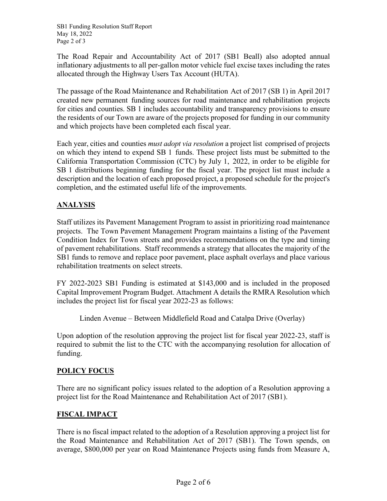The Road Repair and Accountability Act of 2017 (SB1 Beall) also adopted annual inflationary adjustments to all per-gallon motor vehicle fuel excise taxes including the rates allocated through the Highway Users Tax Account (HUTA).

The passage of the Road Maintenance and Rehabilitation Act of 2017 (SB 1) in April 2017 created new permanent funding sources for road maintenance and rehabilitation projects for cities and counties. SB 1 includes accountability and transparency provisions to ensure the residents of our Town are aware of the projects proposed for funding in our community and which projects have been completed each fiscal year.

Each year, cities and counties *must adopt via resolution* a project list comprised of projects on which they intend to expend SB 1 funds. These project lists must be submitted to the California Transportation Commission (CTC) by July 1, 2022, in order to be eligible for SB 1 distributions beginning funding for the fiscal year. The project list must include a description and the location of each proposed project, a proposed schedule for the project's completion, and the estimated useful life of the improvements.

### **ANALYSIS**

Staff utilizes its Pavement Management Program to assist in prioritizing road maintenance projects. The Town Pavement Management Program maintains a listing of the Pavement Condition Index for Town streets and provides recommendations on the type and timing of pavement rehabilitations. Staff recommends a strategy that allocates the majority of the SB1 funds to remove and replace poor pavement, place asphalt overlays and place various rehabilitation treatments on select streets.

FY 2022-2023 SB1 Funding is estimated at \$143,000 and is included in the proposed Capital Improvement Program Budget. Attachment A details the RMRA Resolution which includes the project list for fiscal year 2022-23 as follows:

Linden Avenue – Between Middlefield Road and Catalpa Drive (Overlay)

Upon adoption of the resolution approving the project list for fiscal year 2022-23, staff is required to submit the list to the CTC with the accompanying resolution for allocation of funding.

### **POLICY FOCUS**

There are no significant policy issues related to the adoption of a Resolution approving a project list for the Road Maintenance and Rehabilitation Act of 2017 (SB1).

### **FISCAL IMPACT**

There is no fiscal impact related to the adoption of a Resolution approving a project list for the Road Maintenance and Rehabilitation Act of 2017 (SB1). The Town spends, on average, \$800,000 per year on Road Maintenance Projects using funds from Measure A,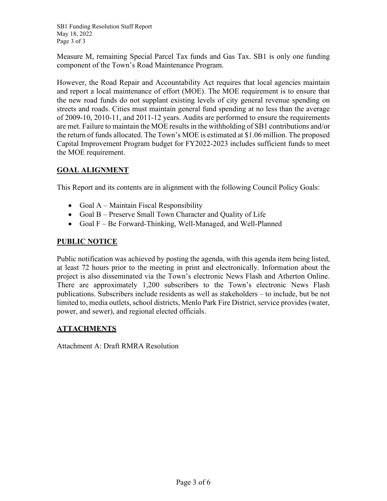SB1 Funding Resolution Staff Report May 18, 2022 Page 3 of 3

Measure M, remaining Special Parcel Tax funds and Gas Tax. SB1 is only one funding component of the Town's Road Maintenance Program.

However, the Road Repair and Accountability Act requires that local agencies maintain and report a local maintenance of effort (MOE). The MOE requirement is to ensure that the new road funds do not supplant existing levels of city general revenue spending on streets and roads. Cities must maintain general fund spending at no less than the average of 2009-10, 2010-11, and 2011-12 years. Audits are performed to ensure the requirements are met. Failure to maintain the MOE results in the withholding of SB1 contributions and/or the return of funds allocated. The Town's MOE is estimated at \$1.06 million. The proposed Capital Improvement Program budget for FY2022-2023 includes sufficient funds to meet the MOE requirement.

### **GOAL ALIGNMENT**

This Report and its contents are in alignment with the following Council Policy Goals:

- Goal  $A -$ Maintain Fiscal Responsibility
- Goal B Preserve Small Town Character and Quality of Life
- Goal F Be Forward-Thinking, Well-Managed, and Well-Planned

### **PUBLIC NOTICE**

Public notification was achieved by posting the agenda, with this agenda item being listed, at least 72 hours prior to the meeting in print and electronically. Information about the project is also disseminated via the Town's electronic News Flash and Atherton Online. There are approximately 1,200 subscribers to the Town's electronic News Flash publications. Subscribers include residents as well as stakeholders – to include, but be not limited to, media outlets, school districts, Menlo Park Fire District, service provides (water, power, and sewer), and regional elected officials.

### **ATTACHMENTS**

Attachment A: Draft RMRA Resolution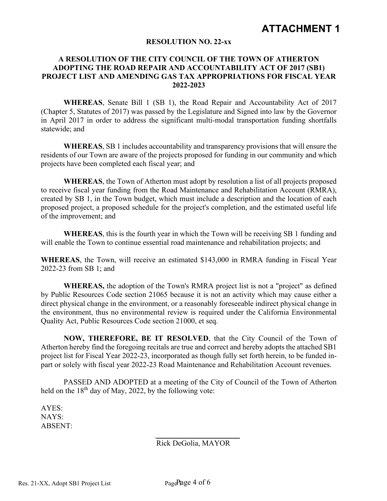## **ATTACHMENT 1**

#### **RESOLUTION NO. 22-xx**

#### **A RESOLUTION OF THE CITY COUNCIL OF THE TOWN OF ATHERTON ADOPTING THE ROAD REPAIR AND ACCOUNTABILITY ACT OF 2017 (SB1) PROJECT LIST AND AMENDING GAS TAX APPROPRIATIONS FOR FISCAL YEAR 2022-2023**

**WHEREAS**, Senate Bill 1 (SB 1), the Road Repair and Accountability Act of 2017 (Chapter 5, Statutes of 2017) was passed by the Legislature and Signed into law by the Governor in April 2017 in order to address the significant multi-modal transportation funding shortfalls statewide; and

**WHEREAS**, SB 1 includes accountability and transparency provisions that will ensure the residents of our Town are aware of the projects proposed for funding in our community and which projects have been completed each fiscal year; and

**WHEREAS**, the Town of Atherton must adopt by resolution a list of all projects proposed to receive fiscal year funding from the Road Maintenance and Rehabilitation Account (RMRA), created by SB 1, in the Town budget, which must include a description and the location of each proposed project, a proposed schedule for the project's completion, and the estimated useful life of the improvement; and

**WHEREAS**, this is the fourth year in which the Town will be receiving SB 1 funding and will enable the Town to continue essential road maintenance and rehabilitation projects; and

**WHEREAS**, the Town, will receive an estimated \$143,000 in RMRA funding in Fiscal Year 2022-23 from SB 1; and

**WHEREAS,** the adoption of the Town's RMRA project list is not a "project" as defined by Public Resources Code section 21065 because it is not an activity which may cause either a direct physical change in the environment, or a reasonably foreseeable indirect physical change in the environment, thus no environmental review is required under the California Environmental Quality Act, Public Resources Code section 21000, et seq.

**NOW, THEREFORE, BE IT RESOLVED**, that the City Council of the Town of Atherton hereby find the foregoing recitals are true and correct and hereby adopts the attached SB1 project list for Fiscal Year 2022-23, incorporated as though fully set forth herein, to be funded inpart or solely with fiscal year 2022-23 Road Maintenance and Rehabilitation Account revenues.

PASSED AND ADOPTED at a meeting of the City of Council of the Town of Atherton held on the  $18<sup>th</sup>$  day of May, 2022, by the following vote:

AYES: NAYS: ABSENT:

Rick DeGolia, MAYOR

\_\_\_\_\_\_\_\_\_\_\_\_\_\_\_\_\_\_\_\_\_\_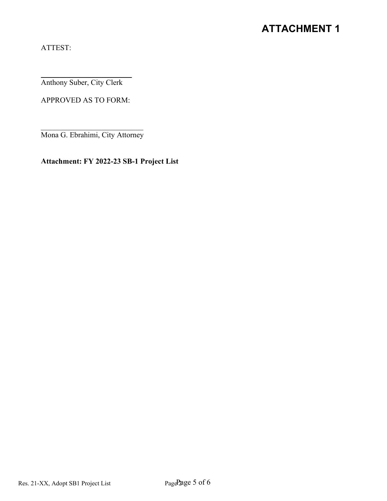# **ATTACHMENT 1**

ATTEST:

\_\_\_\_\_\_\_\_\_\_\_\_\_\_\_\_\_\_\_\_\_\_\_\_ Anthony Suber, City Clerk

APPROVED AS TO FORM:

 $\overline{\phantom{a}}$  , which is a set of the set of the set of the set of the set of the set of the set of the set of the set of the set of the set of the set of the set of the set of the set of the set of the set of the set of th Mona G. Ebrahimi, City Attorney

**Attachment: FY 2022-23 SB-1 Project List**